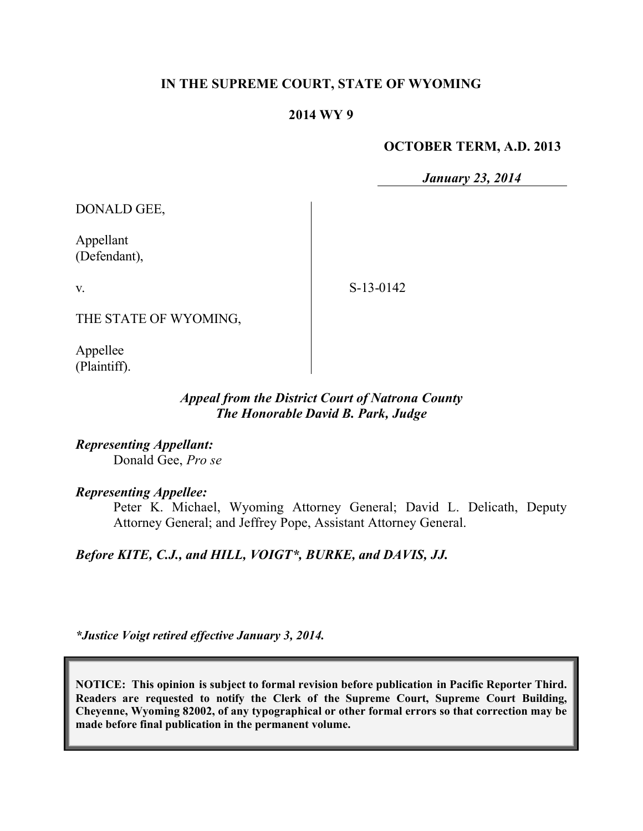## **IN THE SUPREME COURT, STATE OF WYOMING**

### **2014 WY 9**

### **OCTOBER TERM, A.D. 2013**

*January 23, 2014*

DONALD GEE,

Appellant (Defendant),

v.

S-13-0142

THE STATE OF WYOMING,

Appellee (Plaintiff).

## *Appeal from the District Court of Natrona County The Honorable David B. Park, Judge*

*Representing Appellant:* Donald Gee, *Pro se*

# *Representing Appellee:*

Peter K. Michael, Wyoming Attorney General; David L. Delicath, Deputy Attorney General; and Jeffrey Pope, Assistant Attorney General.

*Before KITE, C.J., and HILL, VOIGT\*, BURKE, and DAVIS, JJ.*

*\*Justice Voigt retired effective January 3, 2014.*

**NOTICE: This opinion is subject to formal revision before publication in Pacific Reporter Third. Readers are requested to notify the Clerk of the Supreme Court, Supreme Court Building, Cheyenne, Wyoming 82002, of any typographical or other formal errors so that correction may be made before final publication in the permanent volume.**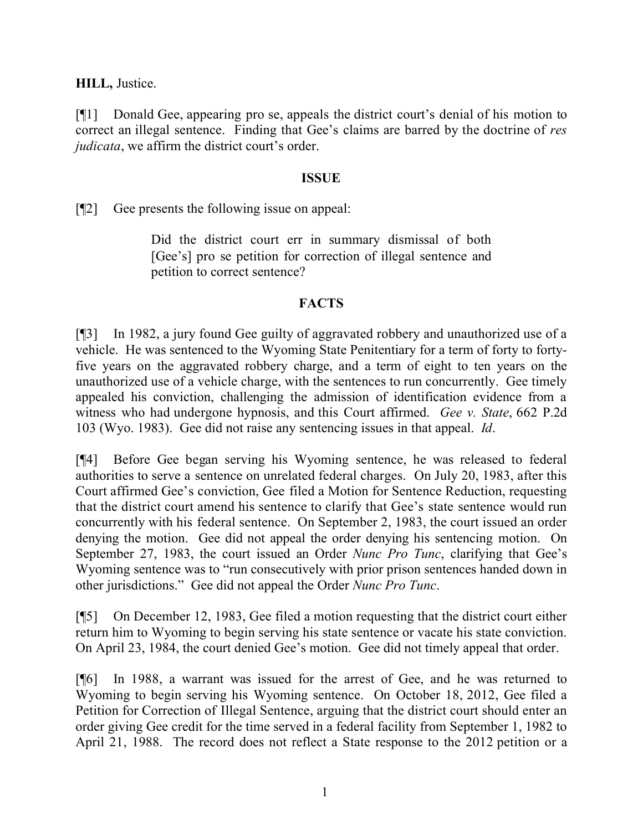**HILL,** Justice.

[¶1] Donald Gee, appearing pro se, appeals the district court's denial of his motion to correct an illegal sentence. Finding that Gee's claims are barred by the doctrine of *res judicata*, we affirm the district court's order.

## **ISSUE**

[¶2] Gee presents the following issue on appeal:

Did the district court err in summary dismissal of both [Gee's] pro se petition for correction of illegal sentence and petition to correct sentence?

# **FACTS**

[¶3] In 1982, a jury found Gee guilty of aggravated robbery and unauthorized use of a vehicle. He was sentenced to the Wyoming State Penitentiary for a term of forty to fortyfive years on the aggravated robbery charge, and a term of eight to ten years on the unauthorized use of a vehicle charge, with the sentences to run concurrently. Gee timely appealed his conviction, challenging the admission of identification evidence from a witness who had undergone hypnosis, and this Court affirmed. *Gee v. State*, 662 P.2d 103 (Wyo. 1983). Gee did not raise any sentencing issues in that appeal. *Id*.

[¶4] Before Gee began serving his Wyoming sentence, he was released to federal authorities to serve a sentence on unrelated federal charges. On July 20, 1983, after this Court affirmed Gee's conviction, Gee filed a Motion for Sentence Reduction, requesting that the district court amend his sentence to clarify that Gee's state sentence would run concurrently with his federal sentence. On September 2, 1983, the court issued an order denying the motion. Gee did not appeal the order denying his sentencing motion. On September 27, 1983, the court issued an Order *Nunc Pro Tunc*, clarifying that Gee's Wyoming sentence was to "run consecutively with prior prison sentences handed down in other jurisdictions." Gee did not appeal the Order *Nunc Pro Tunc*.

[¶5] On December 12, 1983, Gee filed a motion requesting that the district court either return him to Wyoming to begin serving his state sentence or vacate his state conviction. On April 23, 1984, the court denied Gee's motion. Gee did not timely appeal that order.

[¶6] In 1988, a warrant was issued for the arrest of Gee, and he was returned to Wyoming to begin serving his Wyoming sentence. On October 18, 2012, Gee filed a Petition for Correction of Illegal Sentence, arguing that the district court should enter an order giving Gee credit for the time served in a federal facility from September 1, 1982 to April 21, 1988. The record does not reflect a State response to the 2012 petition or a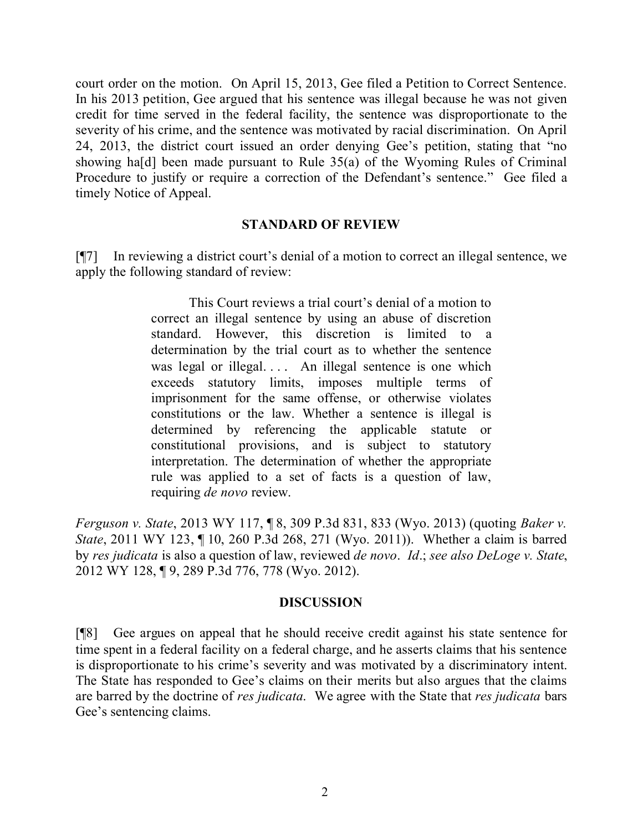court order on the motion. On April 15, 2013, Gee filed a Petition to Correct Sentence. In his 2013 petition, Gee argued that his sentence was illegal because he was not given credit for time served in the federal facility, the sentence was disproportionate to the severity of his crime, and the sentence was motivated by racial discrimination. On April 24, 2013, the district court issued an order denying Gee's petition, stating that "no showing ha[d] been made pursuant to Rule 35(a) of the Wyoming Rules of Criminal Procedure to justify or require a correction of the Defendant's sentence." Gee filed a timely Notice of Appeal.

#### **STANDARD OF REVIEW**

[¶7] In reviewing a district court's denial of a motion to correct an illegal sentence, we apply the following standard of review:

> This Court reviews a trial court's denial of a motion to correct an illegal sentence by using an abuse of discretion standard. However, this discretion is limited to a determination by the trial court as to whether the sentence was legal or illegal.... An illegal sentence is one which exceeds statutory limits, imposes multiple terms of imprisonment for the same offense, or otherwise violates constitutions or the law. Whether a sentence is illegal is determined by referencing the applicable statute or constitutional provisions, and is subject to statutory interpretation. The determination of whether the appropriate rule was applied to a set of facts is a question of law, requiring *de novo* review.

*Ferguson v. State*, 2013 WY 117, ¶ 8, 309 P.3d 831, 833 (Wyo. 2013) (quoting *Baker v. State*, 2011 WY 123, ¶ 10, 260 P.3d 268, 271 (Wyo. 2011)). Whether a claim is barred by *res judicata* is also a question of law, reviewed *de novo*. *Id*.; *see also DeLoge v. State*, 2012 WY 128, ¶ 9, 289 P.3d 776, 778 (Wyo. 2012).

### **DISCUSSION**

[¶8] Gee argues on appeal that he should receive credit against his state sentence for time spent in a federal facility on a federal charge, and he asserts claims that his sentence is disproportionate to his crime's severity and was motivated by a discriminatory intent. The State has responded to Gee's claims on their merits but also argues that the claims are barred by the doctrine of *res judicata*. We agree with the State that *res judicata* bars Gee's sentencing claims.